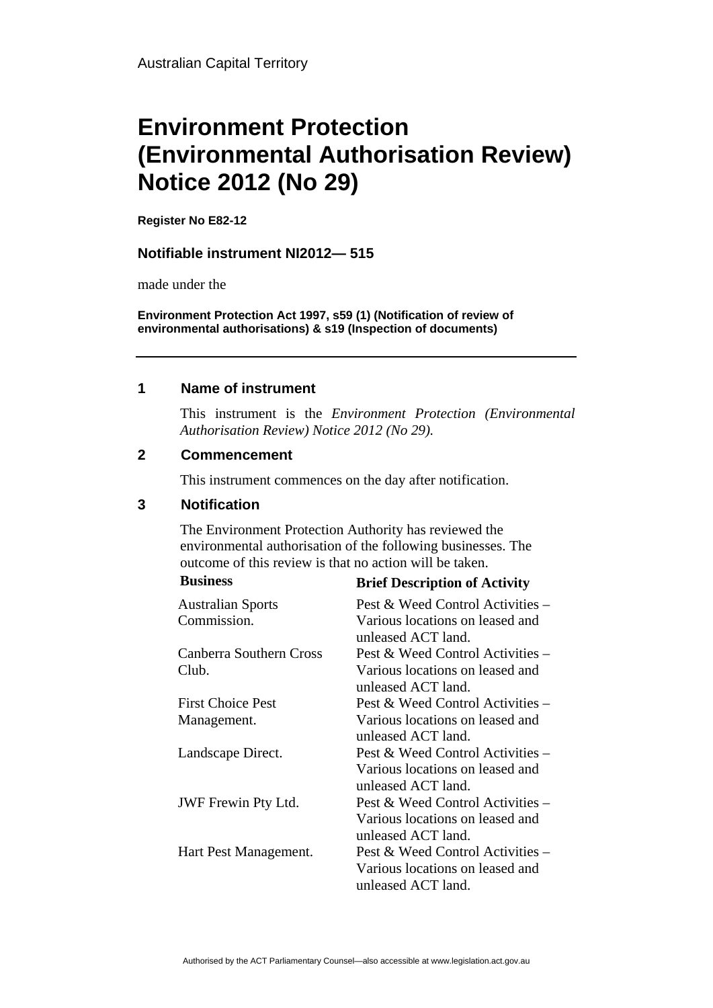# **Environment Protection (Environmental Authorisation Review) Notice 2012 (No 29)**

**Register No E82-12**

### **Notifiable instrument NI2012— 515**

made under the

**Environment Protection Act 1997, s59 (1) (Notification of review of environmental authorisations) & s19 (Inspection of documents)**

### **1 Name of instrument**

This instrument is the *Environment Protection (Environmental Authorisation Review) Notice 2012 (No 29).* 

### **2 Commencement**

This instrument commences on the day after notification.

## **3 Notification**

The Environment Protection Authority has reviewed the environmental authorisation of the following businesses. The outcome of this review is that no action will be taken.

| <b>Business</b>                | <b>Brief Description of Activity</b>                                                      |
|--------------------------------|-------------------------------------------------------------------------------------------|
| <b>Australian Sports</b>       | Pest & Weed Control Activities –                                                          |
| Commission.                    | Various locations on leased and<br>unleased ACT land.                                     |
| <b>Canberra Southern Cross</b> | Pest & Weed Control Activities –                                                          |
| Club.                          | Various locations on leased and<br>unleased ACT land.                                     |
| <b>First Choice Pest</b>       | Pest & Weed Control Activities –                                                          |
| Management.                    | Various locations on leased and<br>unleased ACT land.                                     |
| Landscape Direct.              | Pest & Weed Control Activities –<br>Various locations on leased and<br>unleased ACT land. |
| <b>JWF</b> Frewin Pty Ltd.     | Pest & Weed Control Activities –<br>Various locations on leased and<br>unleased ACT land. |
| Hart Pest Management.          | Pest & Weed Control Activities –<br>Various locations on leased and<br>unleased ACT land. |